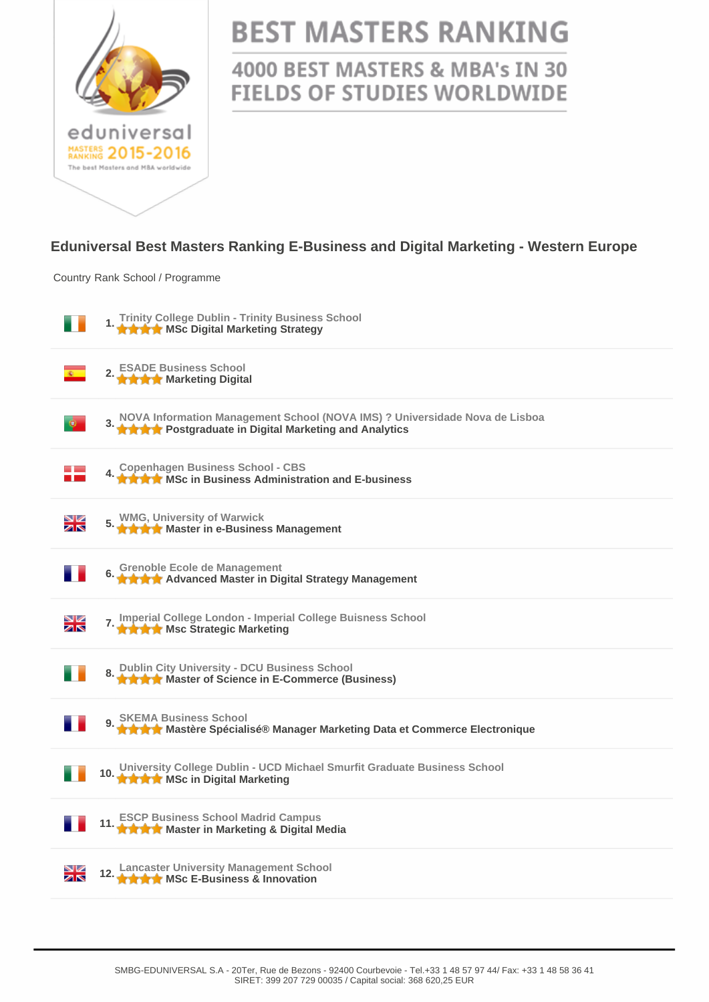

# **BEST MASTERS RANKING**

### 4000 BEST MASTERS & MBA's IN 30 **FIELDS OF STUDIES WORLDWIDE**

#### **Eduniversal Best Masters Ranking E-Business and Digital Marketing - Western Europe**

Country Rank School / Programme

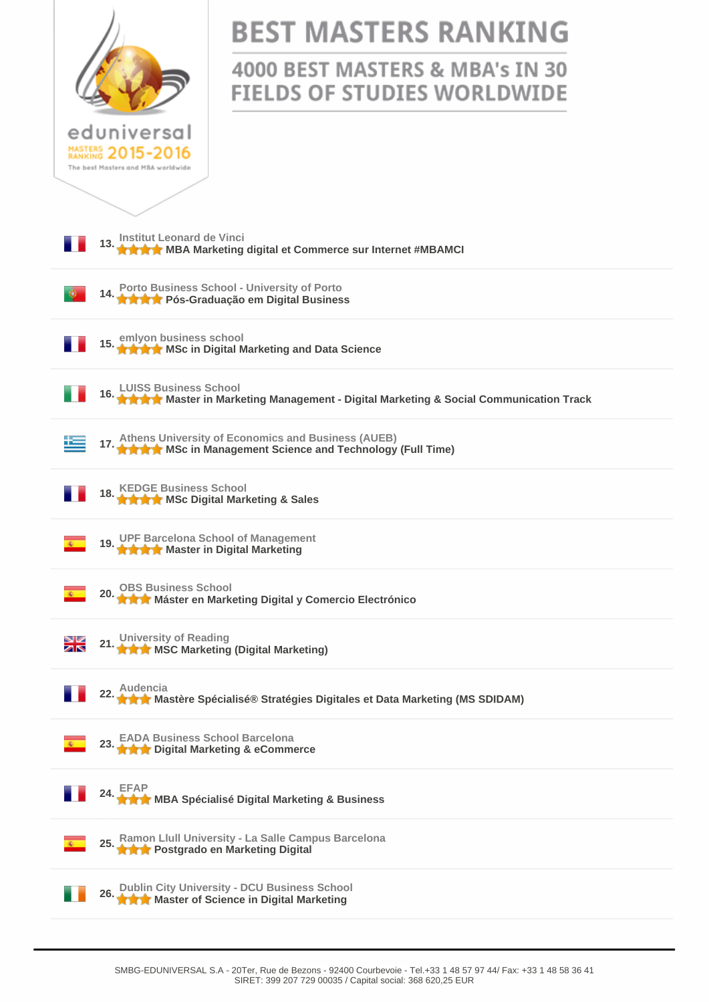|                                                                                                                          | <b>BEST MASTERS RANKING</b><br>4000 BEST MASTERS & MBA's IN 30<br><b>FIELDS OF STUDIES WORLDWIDE</b> |  |
|--------------------------------------------------------------------------------------------------------------------------|------------------------------------------------------------------------------------------------------|--|
| eduniversal<br>MASTERS 2015-2016<br>The best Masters and MBA worldwide                                                   |                                                                                                      |  |
| 13. Institut Leonard de Vinci<br>13. A A MBA Marketing digital et Commerce sur Internet #MBAMCI                          |                                                                                                      |  |
| 14. Porto Business School - University of Porto<br>14. A A A Pós-Graduação em Digital Business                           |                                                                                                      |  |
| 15. emlyon business school<br>15. A A MSc in Digital Marketing and Data Science                                          |                                                                                                      |  |
| 16. LUISS Business School<br>16. LUISS Business School<br>16. LUISS Business School                                      |                                                                                                      |  |
| 17. Athens University of Economics and Business (AUEB)<br>17. A A A MSc in Management Science and Technology (Full Time) |                                                                                                      |  |
| 18. KEDGE Business School<br>18. A A M MSc Digital Marketing & Sales                                                     |                                                                                                      |  |
| 19. UPF Barcelona School of Management<br>19. A A A Master in Digital Marketing                                          |                                                                                                      |  |
| 20. OBS Business School<br>20. A A Máster en Marketing Digital y Comercio Electrónico                                    |                                                                                                      |  |
| 21. University of Reading<br><b>A A MSC Marketing (Digital Marketing)</b><br>XK                                          |                                                                                                      |  |
| 22. Audencia<br>22. Audencia Mastère Spécialisé® Stratégies Digitales et Data Marketing (MS SDIDAM)                      |                                                                                                      |  |
| 23. EADA Business School Barcelona<br>23. A A Digital Marketing & eCommerce                                              |                                                                                                      |  |
| 24. EFAP<br>24. THE MBA Spécialisé Digital Marketing & Business                                                          |                                                                                                      |  |
| 25. Ramon Llull University - La Salle Campus Barcelona<br>25. A A Postgrado en Marketing Digital                         |                                                                                                      |  |
| 26. Dublin City University - DCU Business School<br>26. A Master of Science in Digital Marketing                         |                                                                                                      |  |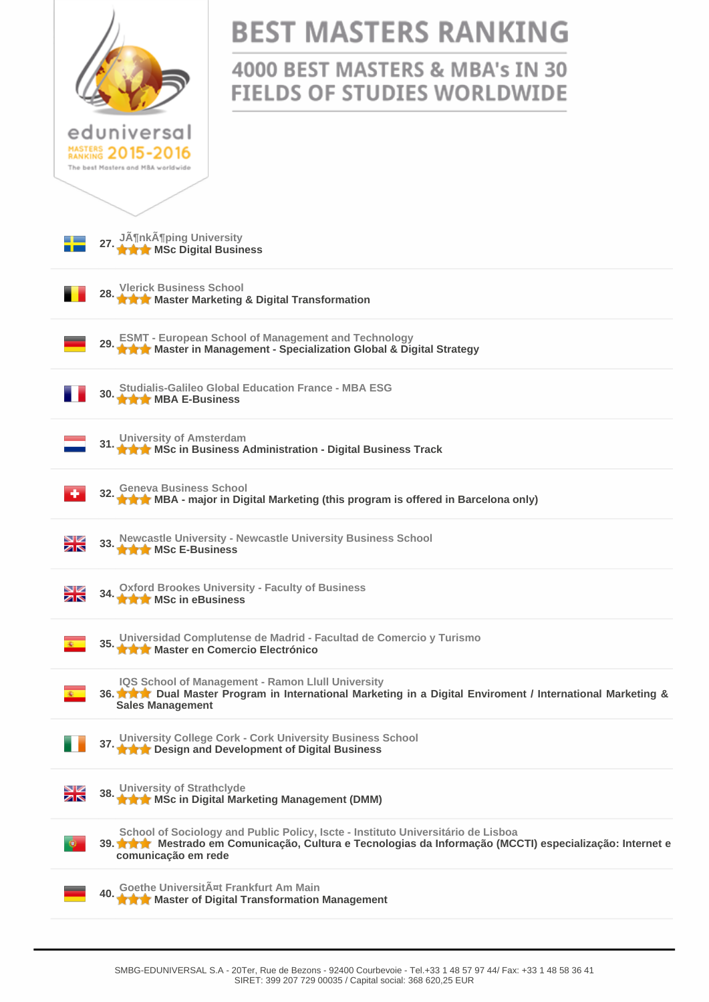|                                                                                                                                                                                                                                                                                                                      | <b>BEST MASTERS RANKING</b>                                           |  |
|----------------------------------------------------------------------------------------------------------------------------------------------------------------------------------------------------------------------------------------------------------------------------------------------------------------------|-----------------------------------------------------------------------|--|
|                                                                                                                                                                                                                                                                                                                      | 4000 BEST MASTERS & MBA's IN 30<br><b>FIELDS OF STUDIES WORLDWIDE</b> |  |
| eduniversal<br>MASTERS 2015-2016<br>The best Masters and MBA worldwide                                                                                                                                                                                                                                               |                                                                       |  |
|                                                                                                                                                                                                                                                                                                                      |                                                                       |  |
| 27. Jönköping University<br><b>THE MSc Digital Business</b>                                                                                                                                                                                                                                                          |                                                                       |  |
| <b>Vlerick Business School</b><br>★★★ Master Marketing & Digital Transformation                                                                                                                                                                                                                                      |                                                                       |  |
| ESMT - European School of Management and Technology<br>★★★ Master in Management - Specialization Global & Digital Strategy                                                                                                                                                                                           |                                                                       |  |
| <b>Studialis-Galileo Global Education France - MBA ESG</b><br><b>THE MBA E-Business</b>                                                                                                                                                                                                                              |                                                                       |  |
| University of Amsterdam<br><b>★★★</b> MSc in Business Administration - Digital Business Track                                                                                                                                                                                                                        |                                                                       |  |
| <b>Geneva Business School</b>                                                                                                                                                                                                                                                                                        |                                                                       |  |
| Newcastle University - Newcastle University Business School<br>◥<br><b>THE MSc E-Business</b><br>↗↖                                                                                                                                                                                                                  |                                                                       |  |
| 34. Oxford Brookes University - Faculty of Business<br>◥◪<br><b>THE MSc in eBusiness</b><br>↗↖                                                                                                                                                                                                                       |                                                                       |  |
| 35. Universidad Complutense de Madrid - Facultad de Comercio y Turismo<br>★★★ Master en Comercio Electrónico                                                                                                                                                                                                         |                                                                       |  |
| IQS School of Management - Ramon Llull University<br>36. <b>A Reading Set All And State State State State State State State State State State State State State State State State State State State State State State State State State State State State State State State State Sta</b><br><b>Sales Management</b> |                                                                       |  |
| 37. University College Cork - Cork University Business School<br><b>★★★</b> Design and Development of Digital Business                                                                                                                                                                                               |                                                                       |  |
| <b>University of Strathclyde</b><br>◛<br>↗↖<br><b>★★★</b> MSc in Digital Marketing Management (DMM)                                                                                                                                                                                                                  |                                                                       |  |
| School of Sociology and Public Policy, Iscte - Instituto Universitário de Lisboa<br>39. <b>A A A</b> Mestrado em Comunicação, Cultura e Tecnologias da Informação (MCCTI) especialização: Internet e<br>comunicação em rede                                                                                          |                                                                       |  |
| Goethe UniversitA¤t Frankfurt Am Main<br><b>★★★</b> Master of Digital Transformation Management                                                                                                                                                                                                                      |                                                                       |  |
|                                                                                                                                                                                                                                                                                                                      |                                                                       |  |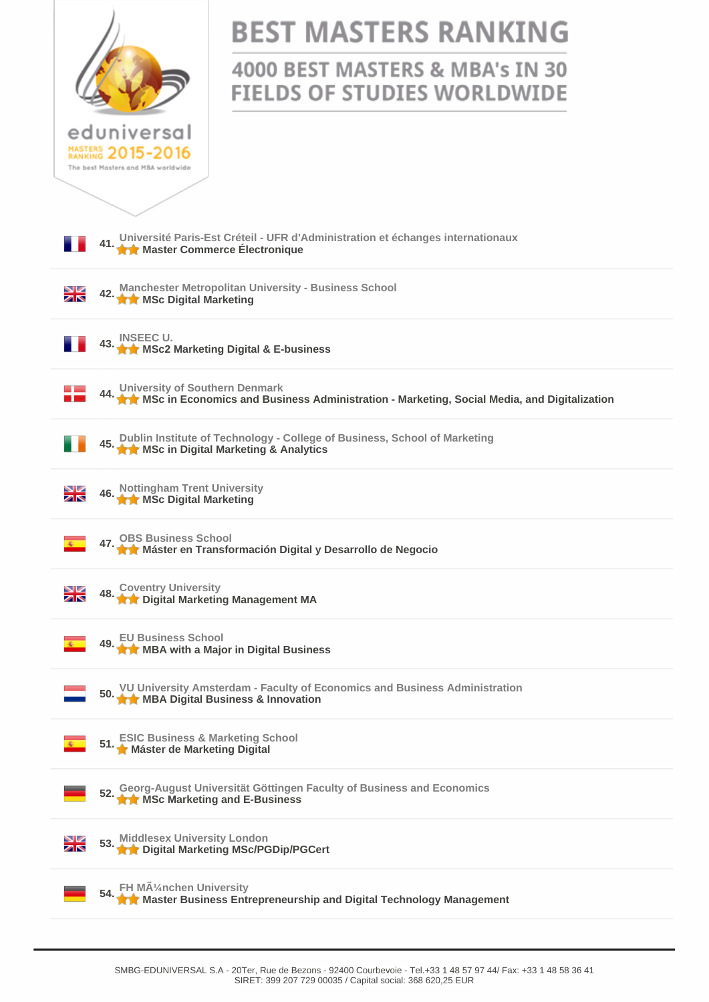

# **BEST MASTERS RANKING**

## 4000 BEST MASTERS & MBA's IN 30 **FIELDS OF STUDIES WORLDWIDE**

**41. [Université Paris-Est Créteil - UFR d'Administration et échanges internationaux](http://www.best-masters.com/ranking-master-e-business-and-digital-marketing-in-western-europe/master-commerce-lectronique-universit-paris-est-cr-teil-ufr-d-administration-et-changes-internationaux.html) [Master Commerce Électronique](http://www.best-masters.com/ranking-master-e-business-and-digital-marketing-in-western-europe/master-commerce-lectronique-universit-paris-est-cr-teil-ufr-d-administration-et-changes-internationaux.html) 42. [Manchester Metropolitan University - Business School](http://www.best-masters.com/ranking-master-e-business-and-digital-marketing-in-western-europe/msc-digital-marketing-manchester-metropolitan-university-business-school.html)  42.** Manchester Motopolite N¥ **43. [INSEEC U.](http://www.best-masters.com/ranking-master-e-business-and-digital-marketing-in-western-europe/msc2-marketing-digital-e-business-inseec-u.html) [MSc2 Marketing Digital & E-business](http://www.best-masters.com/ranking-master-e-business-and-digital-marketing-in-western-europe/msc2-marketing-digital-e-business-inseec-u.html) 44. [University of Southern Denmark](http://www.best-masters.com/ranking-master-e-business-and-digital-marketing-in-western-europe/msc-in-economics-and-business-administration-marketing-social-media-and-digitalization-university-of-southern-denmark.html)  [MSc in Economics and Business Administration - Marketing, Social Media, and Digitalization](http://www.best-masters.com/ranking-master-e-business-and-digital-marketing-in-western-europe/msc-in-economics-and-business-administration-marketing-social-media-and-digitalization-university-of-southern-denmark.html) 45. [Dublin Institute of Technology - College of Business, School of Marketing](http://www.best-masters.com/ranking-master-e-business-and-digital-marketing-in-western-europe/msc-in-digital-marketing-analytics-dublin-institute-of-technology-college-of-business-school-of-marketing.html) [MSc in Digital Marketing & Analytics](http://www.best-masters.com/ranking-master-e-business-and-digital-marketing-in-western-europe/msc-in-digital-marketing-analytics-dublin-institute-of-technology-college-of-business-school-of-marketing.html) 46. [Nottingham Trent University](http://www.best-masters.com/ranking-master-e-business-and-digital-marketing-in-western-europe/msc-digital-marketing-nottingham-trent-university.html) [MSc Digital Marketing](http://www.best-masters.com/ranking-master-e-business-and-digital-marketing-in-western-europe/msc-digital-marketing-nottingham-trent-university.html)** ⊁≼ **47. [OBS Business School](http://www.best-masters.com/ranking-master-e-business-and-digital-marketing-in-western-europe/m-ster-en-transformaci-n-digital-y-desarrollo-de-negocio-obs-business-school.html)  [Máster en Transformación Digital y Desarrollo de Negocio](http://www.best-masters.com/ranking-master-e-business-and-digital-marketing-in-western-europe/m-ster-en-transformaci-n-digital-y-desarrollo-de-negocio-obs-business-school.html) 48. [Coventry University](http://www.best-masters.com/ranking-master-e-business-and-digital-marketing-in-western-europe/digital-marketing-management-ma-coventry-university.html) [Digital Marketing Management MA](http://www.best-masters.com/ranking-master-e-business-and-digital-marketing-in-western-europe/digital-marketing-management-ma-coventry-university.html)** ≱≼ **49. [EU Business School](http://www.best-masters.com/ranking-master-e-business-and-digital-marketing-in-western-europe/mba-with-a-major-in-digital-business-eu-business-school.html) [MBA with a Major in Digital Business](http://www.best-masters.com/ranking-master-e-business-and-digital-marketing-in-western-europe/mba-with-a-major-in-digital-business-eu-business-school.html) 50. [VU University Amsterdam - Faculty of Economics and Business Administration](http://www.best-masters.com/ranking-master-e-business-and-digital-marketing-in-western-europe/mba-digital-business-innovation-vu-university-amsterdam-faculty-of-economics-and-business-administration.html) [MBA Digital Business & Innovation](http://www.best-masters.com/ranking-master-e-business-and-digital-marketing-in-western-europe/mba-digital-business-innovation-vu-university-amsterdam-faculty-of-economics-and-business-administration.html)**<br> **MBA Digital Business & Innovation 51. [ESIC Business & Marketing School](http://www.best-masters.com/ranking-master-e-business-and-digital-marketing-in-western-europe/m-ster-de-marketing-digital-esic-business-marketing-school.html) [Máster de Marketing Digital](http://www.best-masters.com/ranking-master-e-business-and-digital-marketing-in-western-europe/m-ster-de-marketing-digital-esic-business-marketing-school.html) 52. [Georg-August Universität Göttingen Faculty of Business and Economics](http://www.best-masters.com/ranking-master-e-business-and-digital-marketing-in-western-europe/msc-marketing-and-e-business-georg-august-universit-t-g-ttingen-faculty-of-business-and-economics.html) [MSc Marketing and E-Business](http://www.best-masters.com/ranking-master-e-business-and-digital-marketing-in-western-europe/msc-marketing-and-e-business-georg-august-universit-t-g-ttingen-faculty-of-business-and-economics.html) 53. [Middlesex University London](http://www.best-masters.com/ranking-master-e-business-and-digital-marketing-in-western-europe/digital-marketing-msc-pgdip-pgcert-middlesex-university-london.html) [Digital Marketing MSc/PGDip/PGCert](http://www.best-masters.com/ranking-master-e-business-and-digital-marketing-in-western-europe/digital-marketing-msc-pgdip-pgcert-middlesex-university-london.html)** XK **54. [FH München University](http://www.best-masters.com/ranking-master-e-business-and-digital-marketing-in-western-europe/master-business-entrepreneurship-and-digital-technology-management-fh-m-uuml-nchen-university.html) [Master Business Entrepreneurship and Digital Technology Management](http://www.best-masters.com/ranking-master-e-business-and-digital-marketing-in-western-europe/master-business-entrepreneurship-and-digital-technology-management-fh-m-uuml-nchen-university.html)**